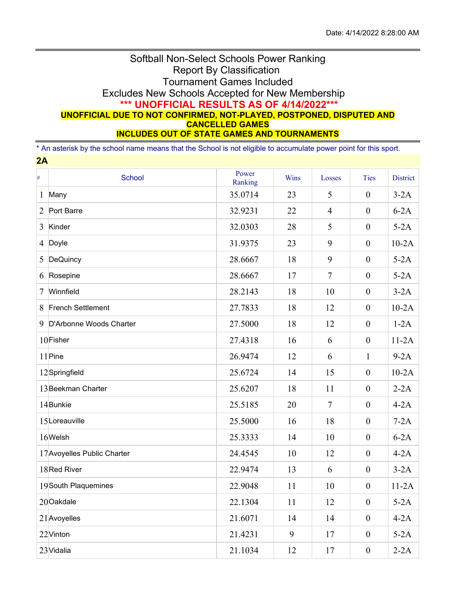## Softball Non-Select Schools Power Ranking Report By Classification Tournament Games Included Excludes New Schools Accepted for New Membership **\*\*\* UNOFFICIAL RESULTS AS OF 4/14/2022\*\*\* UNOFFICIAL DUE TO NOT CONFIRMED, NOT-PLAYED, POSTPONED, DISPUTED AND CANCELLED GAMES INCLUDES OUT OF STATE GAMES AND TOURNAMENTS**

\* An asterisk by the school name means that the School is not eligible to accumulate power point for this sport.

| 2A             |                             |                  |      |                |                  |                 |  |
|----------------|-----------------------------|------------------|------|----------------|------------------|-----------------|--|
| $\#$           | School                      | Power<br>Ranking | Wins | Losses         | <b>Ties</b>      | <b>District</b> |  |
| 1              | Many                        | 35.0714          | 23   | 5              | $\mathbf{0}$     | $3-2A$          |  |
| $\overline{2}$ | Port Barre                  | 32.9231          | 22   | $\overline{4}$ | $\boldsymbol{0}$ | $6-2A$          |  |
| 3              | Kinder                      | 32.0303          | 28   | 5              | $\mathbf{0}$     | $5-2A$          |  |
|                | 4 Doyle                     | 31.9375          | 23   | 9              | $\boldsymbol{0}$ | $10-2A$         |  |
| 5              | DeQuincy                    | 28.6667          | 18   | 9              | $\mathbf{0}$     | $5-2A$          |  |
| 6              | Rosepine                    | 28.6667          | 17   | $\overline{7}$ | $\boldsymbol{0}$ | $5-2A$          |  |
| 7              | Winnfield                   | 28.2143          | 18   | 10             | $\boldsymbol{0}$ | $3-2A$          |  |
| 8              | <b>French Settlement</b>    | 27.7833          | 18   | 12             | $\boldsymbol{0}$ | $10-2A$         |  |
| 9              | D'Arbonne Woods Charter     | 27.5000          | 18   | 12             | $\boldsymbol{0}$ | $1-2A$          |  |
|                | $10$ Fisher                 | 27.4318          | 16   | 6              | $\boldsymbol{0}$ | $11-2A$         |  |
|                | 11 Pine                     | 26.9474          | 12   | 6              | $\mathbf{1}$     | $9-2A$          |  |
|                | 12Springfield               | 25.6724          | 14   | 15             | $\boldsymbol{0}$ | $10-2A$         |  |
|                | 13 Beekman Charter          | 25.6207          | 18   | 11             | $\mathbf{0}$     | $2-2A$          |  |
|                | 14Bunkie                    | 25.5185          | 20   | $\overline{7}$ | $\boldsymbol{0}$ | $4-2A$          |  |
|                | 15 Loreauville              | 25.5000          | 16   | 18             | $\boldsymbol{0}$ | $7-2A$          |  |
|                | 16Welsh                     | 25.3333          | 14   | 10             | $\boldsymbol{0}$ | $6-2A$          |  |
|                | 17 Avoyelles Public Charter | 24.4545          | 10   | 12             | $\mathbf{0}$     | $4-2A$          |  |
|                | 18Red River                 | 22.9474          | 13   | 6              | $\mathbf{0}$     | $3-2A$          |  |
|                | 19 South Plaquemines        | 22.9048          | 11   | 10             | $\boldsymbol{0}$ | $11-2A$         |  |
|                | 20 Oakdale                  | 22.1304          | 11   | 12             | $\boldsymbol{0}$ | $5-2A$          |  |
|                | 21 Avoyelles                | 21.6071          | 14   | 14             | $\boldsymbol{0}$ | $4-2A$          |  |
|                | 22 Vinton                   | 21.4231          | 9    | 17             | $\boldsymbol{0}$ | $5-2A$          |  |
|                | 23 Vidalia                  | 21.1034          | 12   | 17             | $\mathbf{0}$     | $2-2A$          |  |